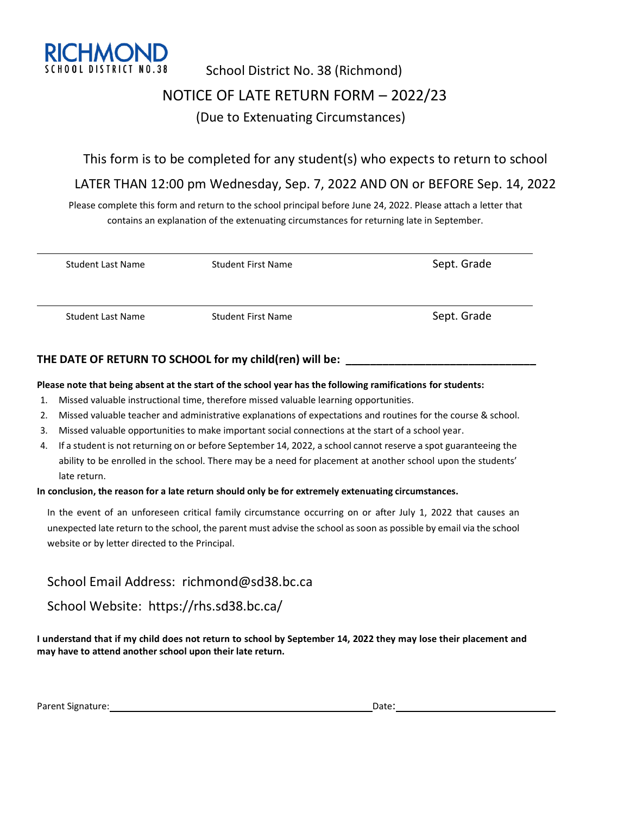

# School District No. 38 (Richmond) NOTICE OF LATE RETURN FORM – 2022/23 (Due to Extenuating Circumstances)

### This form is to be completed for any student(s) who expects to return to school

### LATER THAN 12:00 pm Wednesday, Sep. 7, 2022 AND ON or BEFORE Sep. 14, 2022

Please complete this form and return to the school principal before June 24, 2022. Please attach a letter that contains an explanation of the extenuating circumstances for returning late in September.

| <b>Student Last Name</b> | <b>Student First Name</b> | Sept. Grade |
|--------------------------|---------------------------|-------------|
| <b>Student Last Name</b> | <b>Student First Name</b> | Sept. Grade |

### **THE DATE OF RETURN TO SCHOOL for my child(ren) will be: \_\_\_\_\_\_\_\_\_\_\_\_\_\_\_\_\_\_\_\_\_\_\_\_\_\_\_\_\_\_\_**

#### **Please note that being absent at the start of the school year has the following ramifications for students:**

- 1. Missed valuable instructional time, therefore missed valuable learning opportunities.
- 2. Missed valuable teacher and administrative explanations of expectations and routines for the course & school.
- 3. Missed valuable opportunities to make important social connections at the start of a school year.
- 4. If a student is not returning on or before September 14, 2022, a school cannot reserve a spot guaranteeing the ability to be enrolled in the school. There may be a need for placement at another school upon the students' late return.

#### **In conclusion, the reason for a late return should only be for extremely extenuating circumstances.**

In the event of an unforeseen critical family circumstance occurring on or after July 1, 2022 that causes an unexpected late return to the school, the parent must advise the school as soon as possible by email via the school website or by letter directed to the Principal.

School Email Address: richmond@sd38.bc.ca

### School Website: https://rhs.sd38.bc.ca/

**I understand that if my child does not return to school by September 14, 2022 they may lose their placement and may have to attend another school upon their late return.**

Parent Signature: Later and Date: Date: Date: Date: Date: Date: Date: Date: Date: Date: Date: Date: Date: Date: Date: Date: Date: Date: Date: Date: Date: Date: Date: Date: Date: Date: Date: Date: Date: Date: Date: Date: Da